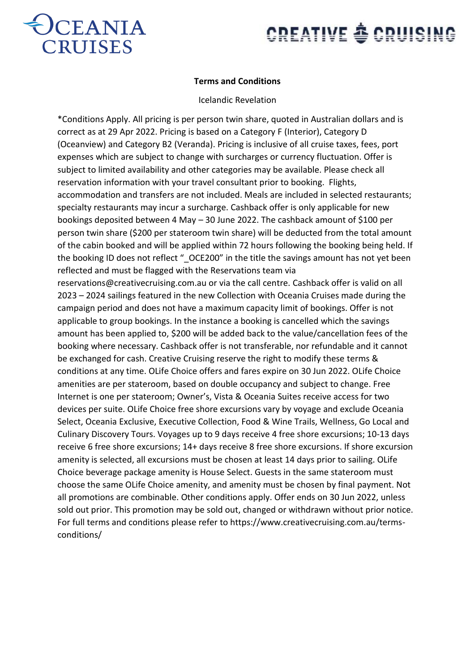

# **CREATIVE & CRUISING**

### **Terms and Conditions**

#### Icelandic Revelation

\*Conditions Apply. All pricing is per person twin share, quoted in Australian dollars and is correct as at 29 Apr 2022. Pricing is based on a Category F (Interior), Category D (Oceanview) and Category B2 (Veranda). Pricing is inclusive of all cruise taxes, fees, port expenses which are subject to change with surcharges or currency fluctuation. Offer is subject to limited availability and other categories may be available. Please check all reservation information with your travel consultant prior to booking. Flights, accommodation and transfers are not included. Meals are included in selected restaurants; specialty restaurants may incur a surcharge. Cashback offer is only applicable for new bookings deposited between 4 May – 30 June 2022. The cashback amount of \$100 per person twin share (\$200 per stateroom twin share) will be deducted from the total amount of the cabin booked and will be applied within 72 hours following the booking being held. If the booking ID does not reflect " OCE200" in the title the savings amount has not yet been reflected and must be flagged with the Reservations team via reservations@creativecruising.com.au or via the call centre. Cashback offer is valid on all 2023 – 2024 sailings featured in the new Collection with Oceania Cruises made during the campaign period and does not have a maximum capacity limit of bookings. Offer is not applicable to group bookings. In the instance a booking is cancelled which the savings amount has been applied to, \$200 will be added back to the value/cancellation fees of the booking where necessary. Cashback offer is not transferable, nor refundable and it cannot be exchanged for cash. Creative Cruising reserve the right to modify these terms & conditions at any time. OLife Choice offers and fares expire on 30 Jun 2022. OLife Choice amenities are per stateroom, based on double occupancy and subject to change. Free Internet is one per stateroom; Owner's, Vista & Oceania Suites receive access for two devices per suite. OLife Choice free shore excursions vary by voyage and exclude Oceania Select, Oceania Exclusive, Executive Collection, Food & Wine Trails, Wellness, Go Local and Culinary Discovery Tours. Voyages up to 9 days receive 4 free shore excursions; 10-13 days receive 6 free shore excursions; 14+ days receive 8 free shore excursions. If shore excursion amenity is selected, all excursions must be chosen at least 14 days prior to sailing. OLife Choice beverage package amenity is House Select. Guests in the same stateroom must choose the same OLife Choice amenity, and amenity must be chosen by final payment. Not all promotions are combinable. Other conditions apply. Offer ends on 30 Jun 2022, unless sold out prior. This promotion may be sold out, changed or withdrawn without prior notice. For full terms and conditions please refer to https://www.creativecruising.com.au/termsconditions/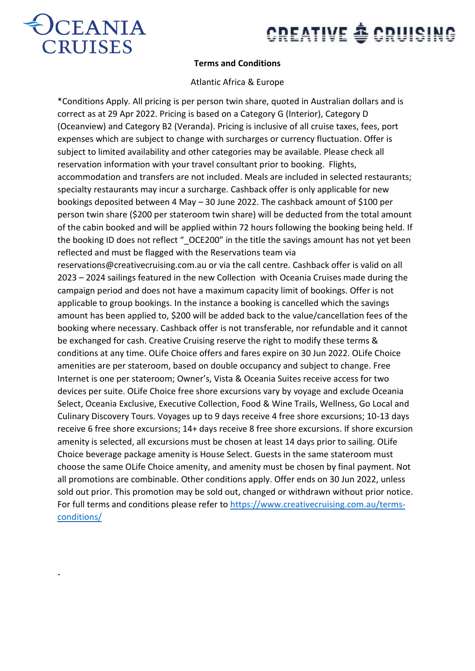

-

# **CREATIVE & CRUISING**

### **Terms and Conditions**

### Atlantic Africa & Europe

\*Conditions Apply. All pricing is per person twin share, quoted in Australian dollars and is correct as at 29 Apr 2022. Pricing is based on a Category G (Interior), Category D (Oceanview) and Category B2 (Veranda). Pricing is inclusive of all cruise taxes, fees, port expenses which are subject to change with surcharges or currency fluctuation. Offer is subject to limited availability and other categories may be available. Please check all reservation information with your travel consultant prior to booking. Flights, accommodation and transfers are not included. Meals are included in selected restaurants; specialty restaurants may incur a surcharge. Cashback offer is only applicable for new bookings deposited between 4 May – 30 June 2022. The cashback amount of \$100 per person twin share (\$200 per stateroom twin share) will be deducted from the total amount of the cabin booked and will be applied within 72 hours following the booking being held. If the booking ID does not reflect " OCE200" in the title the savings amount has not yet been reflected and must be flagged with the Reservations team via reservations@creativecruising.com.au or via the call centre. Cashback offer is valid on all 2023 – 2024 sailings featured in the new Collection with Oceania Cruises made during the campaign period and does not have a maximum capacity limit of bookings. Offer is not applicable to group bookings. In the instance a booking is cancelled which the savings amount has been applied to, \$200 will be added back to the value/cancellation fees of the booking where necessary. Cashback offer is not transferable, nor refundable and it cannot be exchanged for cash. Creative Cruising reserve the right to modify these terms & conditions at any time. OLife Choice offers and fares expire on 30 Jun 2022. OLife Choice amenities are per stateroom, based on double occupancy and subject to change. Free Internet is one per stateroom; Owner's, Vista & Oceania Suites receive access for two devices per suite. OLife Choice free shore excursions vary by voyage and exclude Oceania Select, Oceania Exclusive, Executive Collection, Food & Wine Trails, Wellness, Go Local and Culinary Discovery Tours. Voyages up to 9 days receive 4 free shore excursions; 10-13 days receive 6 free shore excursions; 14+ days receive 8 free shore excursions. If shore excursion amenity is selected, all excursions must be chosen at least 14 days prior to sailing. OLife Choice beverage package amenity is House Select. Guests in the same stateroom must choose the same OLife Choice amenity, and amenity must be chosen by final payment. Not all promotions are combinable. Other conditions apply. Offer ends on 30 Jun 2022, unless sold out prior. This promotion may be sold out, changed or withdrawn without prior notice. For full terms and conditions please refer to [https://www.creativecruising.com.au/terms](https://www.creativecruising.com.au/terms-conditions/)[conditions/](https://www.creativecruising.com.au/terms-conditions/)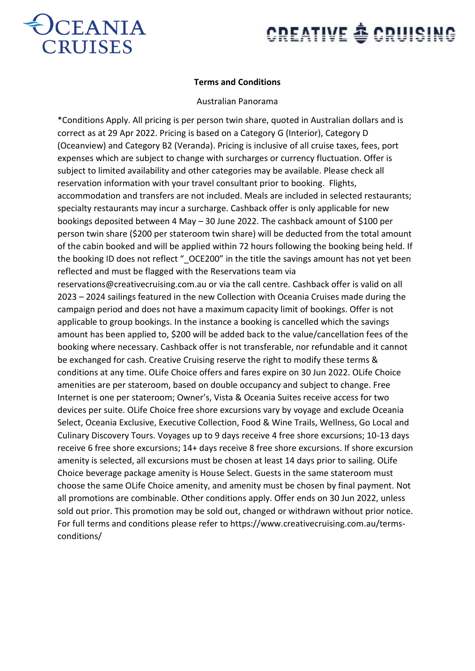

# **CREATIVE & CRUISING**

### **Terms and Conditions**

#### Australian Panorama

\*Conditions Apply. All pricing is per person twin share, quoted in Australian dollars and is correct as at 29 Apr 2022. Pricing is based on a Category G (Interior), Category D (Oceanview) and Category B2 (Veranda). Pricing is inclusive of all cruise taxes, fees, port expenses which are subject to change with surcharges or currency fluctuation. Offer is subject to limited availability and other categories may be available. Please check all reservation information with your travel consultant prior to booking. Flights, accommodation and transfers are not included. Meals are included in selected restaurants; specialty restaurants may incur a surcharge. Cashback offer is only applicable for new bookings deposited between 4 May – 30 June 2022. The cashback amount of \$100 per person twin share (\$200 per stateroom twin share) will be deducted from the total amount of the cabin booked and will be applied within 72 hours following the booking being held. If the booking ID does not reflect " OCE200" in the title the savings amount has not yet been reflected and must be flagged with the Reservations team via reservations@creativecruising.com.au or via the call centre. Cashback offer is valid on all 2023 – 2024 sailings featured in the new Collection with Oceania Cruises made during the campaign period and does not have a maximum capacity limit of bookings. Offer is not applicable to group bookings. In the instance a booking is cancelled which the savings amount has been applied to, \$200 will be added back to the value/cancellation fees of the booking where necessary. Cashback offer is not transferable, nor refundable and it cannot be exchanged for cash. Creative Cruising reserve the right to modify these terms & conditions at any time. OLife Choice offers and fares expire on 30 Jun 2022. OLife Choice amenities are per stateroom, based on double occupancy and subject to change. Free Internet is one per stateroom; Owner's, Vista & Oceania Suites receive access for two devices per suite. OLife Choice free shore excursions vary by voyage and exclude Oceania Select, Oceania Exclusive, Executive Collection, Food & Wine Trails, Wellness, Go Local and Culinary Discovery Tours. Voyages up to 9 days receive 4 free shore excursions; 10-13 days receive 6 free shore excursions; 14+ days receive 8 free shore excursions. If shore excursion amenity is selected, all excursions must be chosen at least 14 days prior to sailing. OLife Choice beverage package amenity is House Select. Guests in the same stateroom must choose the same OLife Choice amenity, and amenity must be chosen by final payment. Not all promotions are combinable. Other conditions apply. Offer ends on 30 Jun 2022, unless sold out prior. This promotion may be sold out, changed or withdrawn without prior notice. For full terms and conditions please refer to https://www.creativecruising.com.au/termsconditions/